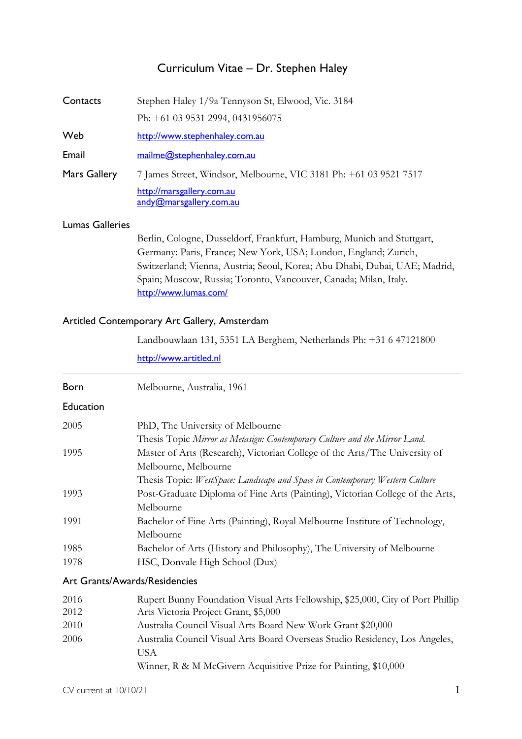## Curriculum Vitae – Dr. Stephen Haley

| Contacts            | Stephen Haley 1/9a Tennyson St, Elwood, Vic. 3184                 |
|---------------------|-------------------------------------------------------------------|
|                     | Ph: +61 03 9531 2994, 0431956075                                  |
| Web                 | http://www.stephenhaley.com.au                                    |
| Email               | mailme@stephenhaley.com.au                                        |
| <b>Mars Gallery</b> | 7 James Street, Windsor, Melbourne, VIC 3181 Ph: +61 03 9521 7517 |
|                     | http://marsgallery.com.au<br>andy@marsgallery.com.au              |
|                     |                                                                   |

#### Lumas Galleries

Berlin, Cologne, Dusseldorf, Frankfurt, Hamburg, Munich and Stuttgart, Germany: Paris, France; New York, USA; London, England; Zurich, Switzerland; Vienna, Austria; Seoul, Korea; Abu Dhabi, Dubai, UAE; Madrid, Spain; Moscow, Russia; Toronto, Vancouver, Canada; Milan, Italy. http://www.lumas.com/

#### Artitled Contemporary Art Gallery, Amsterdam

Landbouwlaan 131, 5351 LA Berghem, Netherlands Ph: +31 6 47121800

http://www.artitled.nl

| <b>Born</b>                   | Melbourne, Australia, 1961                                                     |
|-------------------------------|--------------------------------------------------------------------------------|
| Education                     |                                                                                |
| 2005                          | PhD, The University of Melbourne                                               |
|                               | Thesis Topic Mirror as Metasign: Contemporary Culture and the Mirror Land.     |
| 1995                          | Master of Arts (Research), Victorian College of the Arts/The University of     |
|                               | Melbourne, Melbourne                                                           |
|                               | Thesis Topic: WestSpace: Landscape and Space in Contemporary Western Culture   |
| 1993                          | Post-Graduate Diploma of Fine Arts (Painting), Victorian College of the Arts,  |
|                               | Melbourne                                                                      |
| 1991                          | Bachelor of Fine Arts (Painting), Royal Melbourne Institute of Technology,     |
|                               | Melbourne                                                                      |
| 1985                          | Bachelor of Arts (History and Philosophy), The University of Melbourne         |
| 1978                          | HSC, Donvale High School (Dux)                                                 |
| Art Grants/Awards/Residencies |                                                                                |
| 2016                          | Rupert Bunny Foundation Visual Arts Fellowship, \$25,000, City of Port Phillip |
| 2012                          | Arts Victoria Project Grant, \$5,000                                           |
| 2010                          | Australia Council Visual Arts Board New Work Grant \$20,000                    |
| 2006                          | Australia Council Visual Arts Board Overseas Studio Residency, Los Angeles,    |
|                               | <b>USA</b>                                                                     |

Winner, R & M McGivern Acquisitive Prize for Painting, \$10,000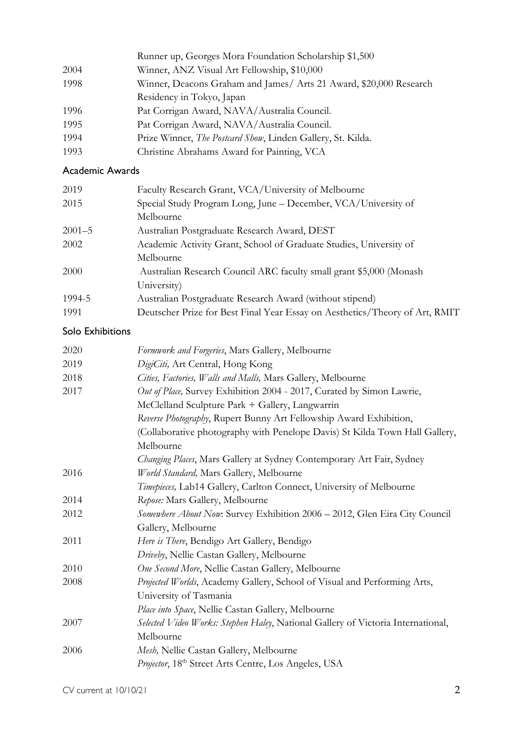|      | Runner up, Georges Mora Foundation Scholarship \$1,500             |
|------|--------------------------------------------------------------------|
| 2004 | Winner, ANZ Visual Art Fellowship, \$10,000                        |
| 1998 | Winner, Deacons Graham and James/ Arts 21 Award, \$20,000 Research |
|      | Residency in Tokyo, Japan                                          |
| 1996 | Pat Corrigan Award, NAVA/Australia Council.                        |
| 1995 | Pat Corrigan Award, NAVA/Australia Council.                        |
| 1994 | Prize Winner, The Postcard Show, Linden Gallery, St. Kilda.        |
| 1993 | Christine Abrahams Award for Painting, VCA                         |

### Academic Awards

| 2019       | Faculty Research Grant, VCA/University of Melbourne                         |
|------------|-----------------------------------------------------------------------------|
| 2015       | Special Study Program Long, June - December, VCA/University of              |
|            | Melbourne                                                                   |
| $2001 - 5$ | Australian Postgraduate Research Award, DEST                                |
| 2002       | Academic Activity Grant, School of Graduate Studies, University of          |
|            | Melbourne                                                                   |
| 2000       | Australian Research Council ARC faculty small grant \$5,000 (Monash         |
|            | University)                                                                 |
| 1994-5     | Australian Postgraduate Research Award (without stipend)                    |
| 1991       | Deutscher Prize for Best Final Year Essay on Aesthetics/Theory of Art, RMIT |

### Solo Exhibitions

| 2020 | Formwork and Forgeries, Mars Gallery, Melbourne                                  |
|------|----------------------------------------------------------------------------------|
| 2019 | DigiCiti, Art Central, Hong Kong                                                 |
| 2018 | Cities, Factories, Walls and Malls, Mars Gallery, Melbourne                      |
| 2017 | Out of Place, Survey Exhibition 2004 - 2017, Curated by Simon Lawrie,            |
|      | McClelland Sculpture Park + Gallery, Langwarrin                                  |
|      | Reverse Photography, Rupert Bunny Art Fellowship Award Exhibition,               |
|      | (Collaborative photography with Penelope Davis) St Kilda Town Hall Gallery,      |
|      | Melbourne                                                                        |
|      | Changing Places, Mars Gallery at Sydney Contemporary Art Fair, Sydney            |
| 2016 | World Standard, Mars Gallery, Melbourne                                          |
|      | Timepieces, Lab14 Gallery, Carlton Connect, University of Melbourne              |
| 2014 | Repose: Mars Gallery, Melbourne                                                  |
| 2012 | Somewhere About Now: Survey Exhibition 2006 - 2012, Glen Eira City Council       |
|      | Gallery, Melbourne                                                               |
| 2011 | Here is There, Bendigo Art Gallery, Bendigo                                      |
|      | Driveby, Nellie Castan Gallery, Melbourne                                        |
| 2010 | One Second More, Nellie Castan Gallery, Melbourne                                |
| 2008 | Projected Worlds, Academy Gallery, School of Visual and Performing Arts,         |
|      | University of Tasmania                                                           |
|      | Place into Space, Nellie Castan Gallery, Melbourne                               |
| 2007 | Selected Video Works: Stephen Haley, National Gallery of Victoria International, |
|      | Melbourne                                                                        |
| 2006 | Mesh, Nellie Castan Gallery, Melbourne                                           |
|      | Projector, 18 <sup>th</sup> Street Arts Centre, Los Angeles, USA                 |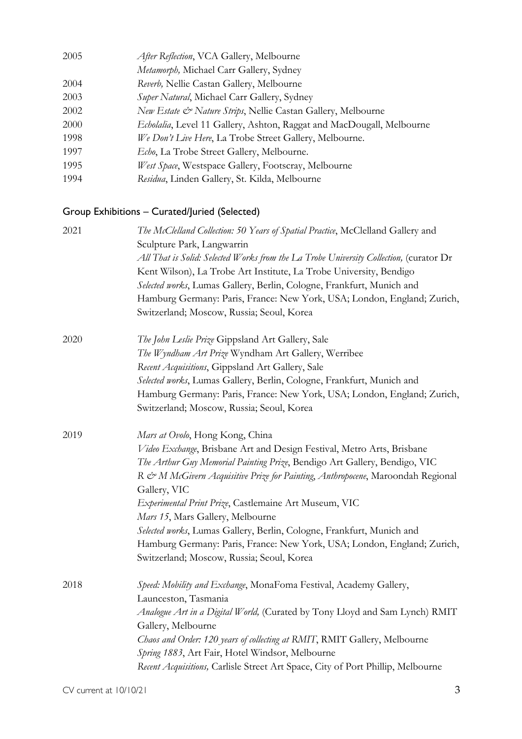| 2005 | After Reflection, VCA Gallery, Melbourne                              |
|------|-----------------------------------------------------------------------|
|      | Metamorph, Michael Carr Gallery, Sydney                               |
| 2004 | Reverb, Nellie Castan Gallery, Melbourne                              |
| 2003 | Super Natural, Michael Carr Gallery, Sydney                           |
| 2002 | New Estate & Nature Strips, Nellie Castan Gallery, Melbourne          |
| 2000 | Echolalia, Level 11 Gallery, Ashton, Raggat and MacDougall, Melbourne |
| 1998 | We Don't Live Here, La Trobe Street Gallery, Melbourne.               |
| 1997 | <i>Echo</i> , La Trobe Street Gallery, Melbourne.                     |
| 1995 | West Space, Westspace Gallery, Footscray, Melbourne                   |
| 1994 | Residua, Linden Gallery, St. Kilda, Melbourne                         |

# Group Exhibitions – Curated/Juried (Selected)

| 2021 | The McClelland Collection: 50 Years of Spatial Practice, McClelland Gallery and<br>Sculpture Park, Langwarrin<br>All That is Solid: Selected Works from the La Trobe University Collection, (curator Dr<br>Kent Wilson), La Trobe Art Institute, La Trobe University, Bendigo<br>Selected works, Lumas Gallery, Berlin, Cologne, Frankfurt, Munich and<br>Hamburg Germany: Paris, France: New York, USA; London, England; Zurich,<br>Switzerland; Moscow, Russia; Seoul, Korea                                                                                                          |
|------|-----------------------------------------------------------------------------------------------------------------------------------------------------------------------------------------------------------------------------------------------------------------------------------------------------------------------------------------------------------------------------------------------------------------------------------------------------------------------------------------------------------------------------------------------------------------------------------------|
| 2020 | The John Leslie Prize Gippsland Art Gallery, Sale<br>The Wyndham Art Prize Wyndham Art Gallery, Werribee<br>Recent Acquisitions, Gippsland Art Gallery, Sale<br>Selected works, Lumas Gallery, Berlin, Cologne, Frankfurt, Munich and<br>Hamburg Germany: Paris, France: New York, USA; London, England; Zurich,<br>Switzerland; Moscow, Russia; Seoul, Korea                                                                                                                                                                                                                           |
| 2019 | Mars at Ovolo, Hong Kong, China<br>Video Exchange, Brisbane Art and Design Festival, Metro Arts, Brisbane<br>The Arthur Guy Memorial Painting Prize, Bendigo Art Gallery, Bendigo, VIC<br>R & M McGivern Acquisitive Prize for Painting, Anthropocene, Maroondah Regional<br>Gallery, VIC<br>Experimental Print Prize, Castlemaine Art Museum, VIC<br>Mars 15, Mars Gallery, Melbourne<br>Selected works, Lumas Gallery, Berlin, Cologne, Frankfurt, Munich and<br>Hamburg Germany: Paris, France: New York, USA; London, England; Zurich,<br>Switzerland; Moscow, Russia; Seoul, Korea |
| 2018 | Speed: Mobility and Exchange, MonaFoma Festival, Academy Gallery,<br>Launceston, Tasmania<br>Analogue Art in a Digital World, (Curated by Tony Lloyd and Sam Lynch) RMIT<br>Gallery, Melbourne<br>Chaos and Order: 120 years of collecting at RMIT, RMIT Gallery, Melbourne<br>Spring 1883, Art Fair, Hotel Windsor, Melbourne<br>Recent Acquisitions, Carlisle Street Art Space, City of Port Phillip, Melbourne                                                                                                                                                                       |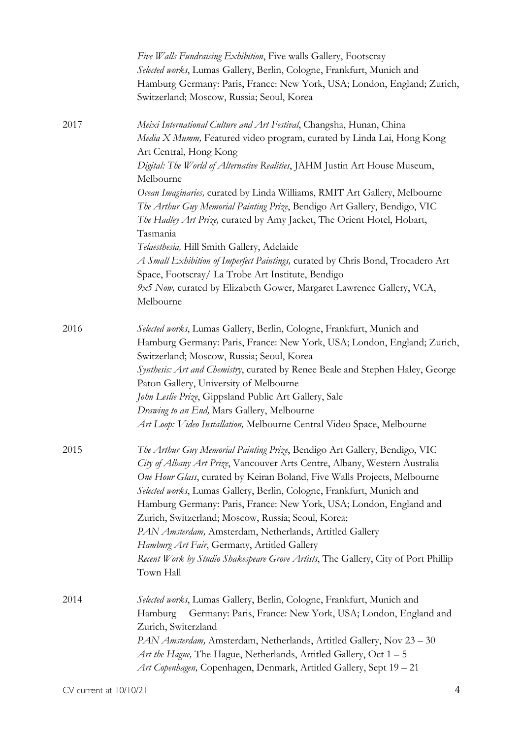|      | Five Walls Fundraising Exhibition, Five walls Gallery, Footscray<br>Selected works, Lumas Gallery, Berlin, Cologne, Frankfurt, Munich and<br>Hamburg Germany: Paris, France: New York, USA; London, England; Zurich,<br>Switzerland; Moscow, Russia; Seoul, Korea                                                                                                                                                                                                                                                                                                                                                                                     |
|------|-------------------------------------------------------------------------------------------------------------------------------------------------------------------------------------------------------------------------------------------------------------------------------------------------------------------------------------------------------------------------------------------------------------------------------------------------------------------------------------------------------------------------------------------------------------------------------------------------------------------------------------------------------|
| 2017 | Meixi International Culture and Art Festival, Changsha, Hunan, China<br>Media X Mumm, Featured video program, curated by Linda Lai, Hong Kong<br>Art Central, Hong Kong<br>Digital: The World of Alternative Realities, JAHM Justin Art House Museum,                                                                                                                                                                                                                                                                                                                                                                                                 |
|      | Melbourne                                                                                                                                                                                                                                                                                                                                                                                                                                                                                                                                                                                                                                             |
|      | Ocean Imaginaries, curated by Linda Williams, RMIT Art Gallery, Melbourne<br>The Arthur Guy Memorial Painting Prize, Bendigo Art Gallery, Bendigo, VIC<br>The Hadley Art Prize, curated by Amy Jacket, The Orient Hotel, Hobart,<br>Tasmania                                                                                                                                                                                                                                                                                                                                                                                                          |
|      | Telaesthesia, Hill Smith Gallery, Adelaide                                                                                                                                                                                                                                                                                                                                                                                                                                                                                                                                                                                                            |
|      | A Small Exhibition of Imperfect Paintings, curated by Chris Bond, Trocadero Art<br>Space, Footscray/ La Trobe Art Institute, Bendigo                                                                                                                                                                                                                                                                                                                                                                                                                                                                                                                  |
|      | 9x5 Now, curated by Elizabeth Gower, Margaret Lawrence Gallery, VCA,<br>Melbourne                                                                                                                                                                                                                                                                                                                                                                                                                                                                                                                                                                     |
| 2016 | Selected works, Lumas Gallery, Berlin, Cologne, Frankfurt, Munich and<br>Hamburg Germany: Paris, France: New York, USA; London, England; Zurich,<br>Switzerland; Moscow, Russia; Seoul, Korea<br>Synthesis: Art and Chemistry, curated by Renee Beale and Stephen Haley, George                                                                                                                                                                                                                                                                                                                                                                       |
|      | Paton Gallery, University of Melbourne                                                                                                                                                                                                                                                                                                                                                                                                                                                                                                                                                                                                                |
|      | John Leslie Prize, Gippsland Public Art Gallery, Sale                                                                                                                                                                                                                                                                                                                                                                                                                                                                                                                                                                                                 |
|      | Drawing to an End, Mars Gallery, Melbourne                                                                                                                                                                                                                                                                                                                                                                                                                                                                                                                                                                                                            |
|      | Art Loop: Video Installation, Melbourne Central Video Space, Melbourne                                                                                                                                                                                                                                                                                                                                                                                                                                                                                                                                                                                |
| 2015 | The Arthur Guy Memorial Painting Prize, Bendigo Art Gallery, Bendigo, VIC<br>City of Albany Art Prize, Vancouver Arts Centre, Albany, Western Australia<br>One Hour Glass, curated by Keiran Boland, Five Walls Projects, Melbourne<br>Selected works, Lumas Gallery, Berlin, Cologne, Frankfurt, Munich and<br>Hamburg Germany: Paris, France: New York, USA; London, England and<br>Zurich, Switzerland; Moscow, Russia; Seoul, Korea;<br>PAN Amsterdam, Amsterdam, Netherlands, Artitled Gallery<br>Hamburg Art Fair, Germany, Artitled Gallery<br>Recent Work by Studio Shakespeare Grove Artists, The Gallery, City of Port Phillip<br>Town Hall |
| 2014 | Selected works, Lumas Gallery, Berlin, Cologne, Frankfurt, Munich and<br>Germany: Paris, France: New York, USA; London, England and<br>Hamburg                                                                                                                                                                                                                                                                                                                                                                                                                                                                                                        |
|      | Zurich, Switerzland<br>PAN Amsterdam, Amsterdam, Netherlands, Artitled Gallery, Nov 23 - 30<br>Art the Hague, The Hague, Netherlands, Artitled Gallery, Oct $1 - 5$                                                                                                                                                                                                                                                                                                                                                                                                                                                                                   |
|      | Art Copenhagen, Copenhagen, Denmark, Artitled Gallery, Sept 19 - 21                                                                                                                                                                                                                                                                                                                                                                                                                                                                                                                                                                                   |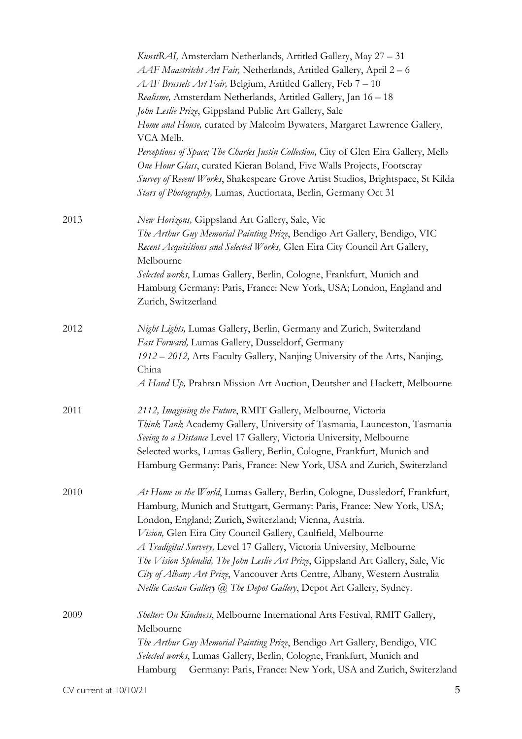|      | KunstRAI, Amsterdam Netherlands, Artitled Gallery, May 27 - 31<br>AAF Maastritcht Art Fair, Netherlands, Artitled Gallery, April 2 – 6<br>AAF Brussels Art Fair, Belgium, Artitled Gallery, Feb 7 - 10                                                                                                              |
|------|---------------------------------------------------------------------------------------------------------------------------------------------------------------------------------------------------------------------------------------------------------------------------------------------------------------------|
|      | Realisme, Amsterdam Netherlands, Artitled Gallery, Jan 16 - 18                                                                                                                                                                                                                                                      |
|      | John Leslie Prize, Gippsland Public Art Gallery, Sale                                                                                                                                                                                                                                                               |
|      | Home and House, curated by Malcolm Bywaters, Margaret Lawrence Gallery,<br>VCA Melb.                                                                                                                                                                                                                                |
|      | Perceptions of Space; The Charles Justin Collection, City of Glen Eira Gallery, Melb<br>One Hour Glass, curated Kieran Boland, Five Walls Projects, Footscray<br>Survey of Recent Works, Shakespeare Grove Artist Studios, Brightspace, St Kilda<br>Stars of Photography, Lumas, Auctionata, Berlin, Germany Oct 31 |
| 2013 | New Horizons, Gippsland Art Gallery, Sale, Vic                                                                                                                                                                                                                                                                      |
|      | The Arthur Guy Memorial Painting Prize, Bendigo Art Gallery, Bendigo, VIC<br>Recent Acquisitions and Selected Works, Glen Eira City Council Art Gallery,<br>Melbourne                                                                                                                                               |
|      | Selected works, Lumas Gallery, Berlin, Cologne, Frankfurt, Munich and                                                                                                                                                                                                                                               |
|      | Hamburg Germany: Paris, France: New York, USA; London, England and<br>Zurich, Switzerland                                                                                                                                                                                                                           |
| 2012 | Night Lights, Lumas Gallery, Berlin, Germany and Zurich, Switerzland                                                                                                                                                                                                                                                |
|      | Fast Forward, Lumas Gallery, Dusseldorf, Germany                                                                                                                                                                                                                                                                    |
|      | 1912 – 2012, Arts Faculty Gallery, Nanjing University of the Arts, Nanjing,                                                                                                                                                                                                                                         |
|      | China                                                                                                                                                                                                                                                                                                               |
|      | A Hand Up, Prahran Mission Art Auction, Deutsher and Hackett, Melbourne                                                                                                                                                                                                                                             |
| 2011 | 2112, Imagining the Future, RMIT Gallery, Melbourne, Victoria                                                                                                                                                                                                                                                       |
|      | Think Tank Academy Gallery, University of Tasmania, Launceston, Tasmania<br>Seeing to a Distance Level 17 Gallery, Victoria University, Melbourne                                                                                                                                                                   |
|      | Selected works, Lumas Gallery, Berlin, Cologne, Frankfurt, Munich and                                                                                                                                                                                                                                               |
|      | Hamburg Germany: Paris, France: New York, USA and Zurich, Switerzland                                                                                                                                                                                                                                               |
| 2010 | At Home in the World, Lumas Gallery, Berlin, Cologne, Dussledorf, Frankfurt,<br>Hamburg, Munich and Stuttgart, Germany: Paris, France: New York, USA;                                                                                                                                                               |
|      | London, England; Zurich, Switerzland; Vienna, Austria.                                                                                                                                                                                                                                                              |
|      | Vision, Glen Eira City Council Gallery, Caulfield, Melbourne                                                                                                                                                                                                                                                        |
|      | A Tradigital Survery, Level 17 Gallery, Victoria University, Melbourne                                                                                                                                                                                                                                              |
|      | The Vision Splendid, The John Leslie Art Prize, Gippsland Art Gallery, Sale, Vic                                                                                                                                                                                                                                    |
|      | City of Albany Art Prize, Vancouver Arts Centre, Albany, Western Australia                                                                                                                                                                                                                                          |
|      | Nellie Castan Gallery @ The Depot Gallery, Depot Art Gallery, Sydney.                                                                                                                                                                                                                                               |
| 2009 | Shelter: On Kindness, Melbourne International Arts Festival, RMIT Gallery,<br>Melbourne                                                                                                                                                                                                                             |
|      | The Arthur Guy Memorial Painting Prize, Bendigo Art Gallery, Bendigo, VIC                                                                                                                                                                                                                                           |
|      | Selected works, Lumas Gallery, Berlin, Cologne, Frankfurt, Munich and                                                                                                                                                                                                                                               |
|      | Germany: Paris, France: New York, USA and Zurich, Switerzland<br>Hamburg                                                                                                                                                                                                                                            |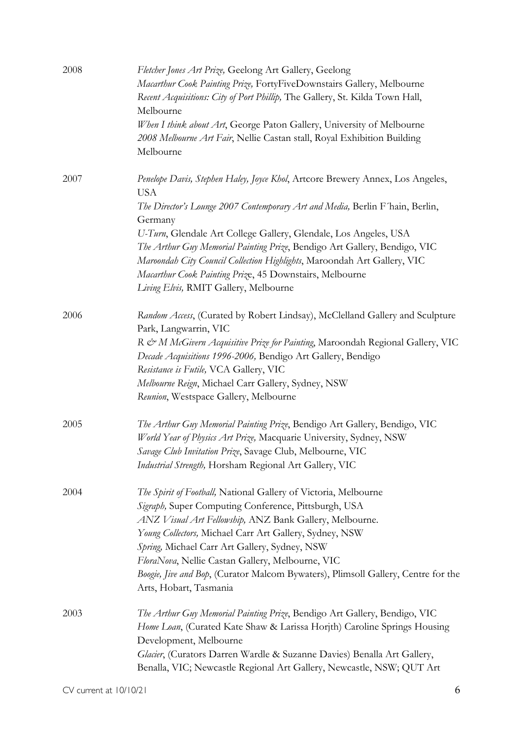| 2008 | Fletcher Jones Art Prize, Geelong Art Gallery, Geelong<br>Macarthur Cook Painting Prize, FortyFiveDownstairs Gallery, Melbourne<br>Recent Acquisitions: City of Port Phillip, The Gallery, St. Kilda Town Hall,<br>Melbourne<br>When I think about Art, George Paton Gallery, University of Melbourne<br>2008 Melbourne Art Fair, Nellie Castan stall, Royal Exhibition Building<br>Melbourne                                                                                                                             |
|------|---------------------------------------------------------------------------------------------------------------------------------------------------------------------------------------------------------------------------------------------------------------------------------------------------------------------------------------------------------------------------------------------------------------------------------------------------------------------------------------------------------------------------|
| 2007 | Penelope Davis, Stephen Haley, Joyce Khol, Artcore Brewery Annex, Los Angeles,<br><b>USA</b><br>The Director's Lounge 2007 Contemporary Art and Media, Berlin F'hain, Berlin,<br>Germany<br>U-Turn, Glendale Art College Gallery, Glendale, Los Angeles, USA<br>The Arthur Guy Memorial Painting Prize, Bendigo Art Gallery, Bendigo, VIC<br>Maroondah City Council Collection Highlights, Maroondah Art Gallery, VIC<br>Macarthur Cook Painting Prize, 45 Downstairs, Melbourne<br>Living Elvis, RMIT Gallery, Melbourne |
| 2006 | Random Access, (Curated by Robert Lindsay), McClelland Gallery and Sculpture<br>Park, Langwarrin, VIC<br>R & M McGivern Acquisitive Prize for Painting, Maroondah Regional Gallery, VIC<br>Decade Acquisitions 1996-2006, Bendigo Art Gallery, Bendigo<br>Resistance is Futile, VCA Gallery, VIC<br>Melbourne Reign, Michael Carr Gallery, Sydney, NSW<br>Reunion, Westspace Gallery, Melbourne                                                                                                                           |
| 2005 | The Arthur Guy Memorial Painting Prize, Bendigo Art Gallery, Bendigo, VIC<br>World Year of Physics Art Prize, Macquarie University, Sydney, NSW<br>Savage Club Invitation Prize, Savage Club, Melbourne, VIC<br>Industrial Strength, Horsham Regional Art Gallery, VIC                                                                                                                                                                                                                                                    |
| 2004 | The Spirit of Football, National Gallery of Victoria, Melbourne<br>Sigraph, Super Computing Conference, Pittsburgh, USA<br>ANZ Visual Art Fellowship, ANZ Bank Gallery, Melbourne.<br>Young Collectors, Michael Carr Art Gallery, Sydney, NSW<br>Spring, Michael Carr Art Gallery, Sydney, NSW<br>FloraNova, Nellie Castan Gallery, Melbourne, VIC<br>Boogie, Jive and Bop, (Curator Malcom Bywaters), Plimsoll Gallery, Centre for the<br>Arts, Hobart, Tasmania                                                         |
| 2003 | The Arthur Guy Memorial Painting Prize, Bendigo Art Gallery, Bendigo, VIC<br>Home Loan, (Curated Kate Shaw & Larissa Horjth) Caroline Springs Housing<br>Development, Melbourne<br>Glacier, (Curators Darren Wardle & Suzanne Davies) Benalla Art Gallery,<br>Benalla, VIC; Newcastle Regional Art Gallery, Newcastle, NSW; QUT Art                                                                                                                                                                                       |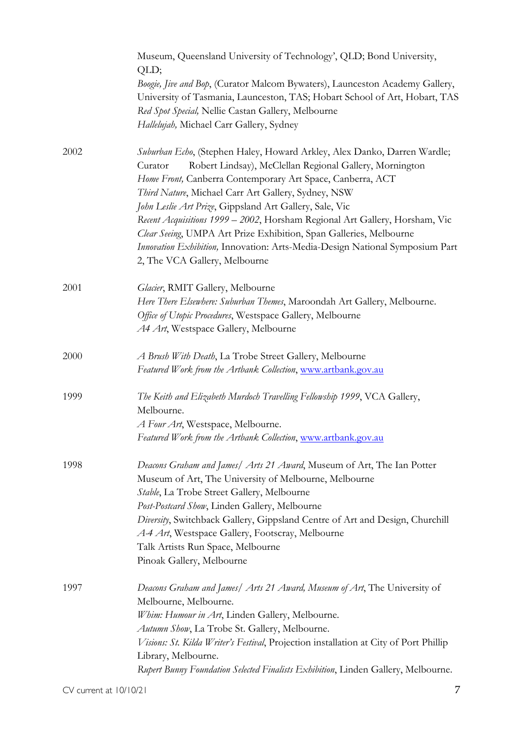|      | Museum, Queensland University of Technology', QLD; Bond University,<br>QLD;                                                                                                                                                                                                                                                    |
|------|--------------------------------------------------------------------------------------------------------------------------------------------------------------------------------------------------------------------------------------------------------------------------------------------------------------------------------|
|      | Boogie, Jive and Bop, (Curator Malcom Bywaters), Launceston Academy Gallery,                                                                                                                                                                                                                                                   |
|      | University of Tasmania, Launceston, TAS; Hobart School of Art, Hobart, TAS                                                                                                                                                                                                                                                     |
|      | Red Spot Special, Nellie Castan Gallery, Melbourne                                                                                                                                                                                                                                                                             |
|      | Hallelujah, Michael Carr Gallery, Sydney                                                                                                                                                                                                                                                                                       |
| 2002 | Suburban Echo, (Stephen Haley, Howard Arkley, Alex Danko, Darren Wardle;<br>Robert Lindsay), McClellan Regional Gallery, Mornington<br>Curator<br>Home Front, Canberra Contemporary Art Space, Canberra, ACT<br>Third Nature, Michael Carr Art Gallery, Sydney, NSW<br>John Leslie Art Prize, Gippsland Art Gallery, Sale, Vic |
|      | Recent Acquisitions 1999 - 2002, Horsham Regional Art Gallery, Horsham, Vic<br>Clear Seeing, UMPA Art Prize Exhibition, Span Galleries, Melbourne<br>Innovation Exhibition, Innovation: Arts-Media-Design National Symposium Part<br>2, The VCA Gallery, Melbourne                                                             |
| 2001 | Glacier, RMIT Gallery, Melbourne                                                                                                                                                                                                                                                                                               |
|      | Here There Elsewhere: Suburban Themes, Maroondah Art Gallery, Melbourne.                                                                                                                                                                                                                                                       |
|      | Office of Utopic Procedures, Westspace Gallery, Melbourne                                                                                                                                                                                                                                                                      |
|      | A4 Art, Westspace Gallery, Melbourne                                                                                                                                                                                                                                                                                           |
| 2000 | A Brush With Death, La Trobe Street Gallery, Melbourne<br>Featured Work from the Artbank Collection, www.artbank.gov.au                                                                                                                                                                                                        |
| 1999 | The Keith and Elizabeth Murdoch Travelling Fellowship 1999, VCA Gallery,<br>Melbourne.                                                                                                                                                                                                                                         |
|      | A Four Art, Westspace, Melbourne.                                                                                                                                                                                                                                                                                              |
|      | Featured Work from the Artbank Collection, www.artbank.gov.au                                                                                                                                                                                                                                                                  |
| 1998 | Deacons Graham and James/ Arts 21 Award, Museum of Art, The Ian Potter<br>Museum of Art, The University of Melbourne, Melbourne<br>Stable, La Trobe Street Gallery, Melbourne                                                                                                                                                  |
|      | Post-Postcard Show, Linden Gallery, Melbourne                                                                                                                                                                                                                                                                                  |
|      | Diversity, Switchback Gallery, Gippsland Centre of Art and Design, Churchill<br>A-4 Art, Westspace Gallery, Footscray, Melbourne                                                                                                                                                                                               |
|      | Talk Artists Run Space, Melbourne                                                                                                                                                                                                                                                                                              |
|      | Pinoak Gallery, Melbourne                                                                                                                                                                                                                                                                                                      |
| 1997 | Deacons Graham and James/ Arts 21 Award, Museum of Art, The University of<br>Melbourne, Melbourne.                                                                                                                                                                                                                             |
|      | Whim: Humour in Art, Linden Gallery, Melbourne.                                                                                                                                                                                                                                                                                |
|      | Autumn Show, La Trobe St. Gallery, Melbourne.                                                                                                                                                                                                                                                                                  |
|      | Visions: St. Kilda Writer's Festival, Projection installation at City of Port Phillip                                                                                                                                                                                                                                          |
|      | Library, Melbourne.                                                                                                                                                                                                                                                                                                            |
|      | Rupert Bunny Foundation Selected Finalists Exhibition, Linden Gallery, Melbourne.                                                                                                                                                                                                                                              |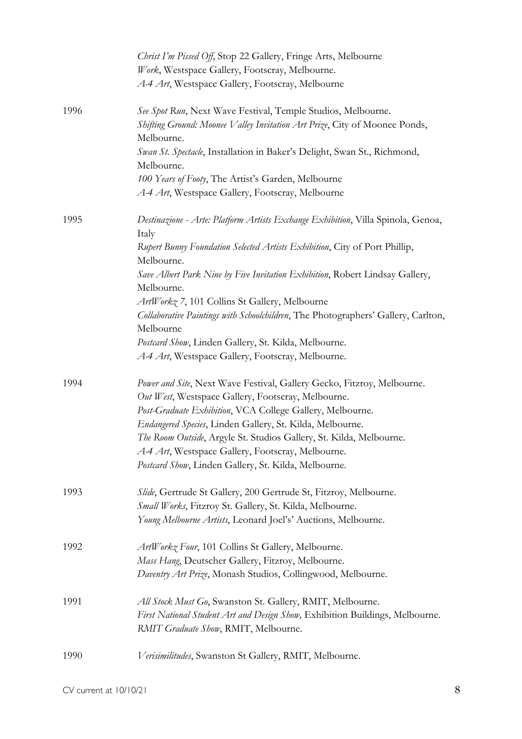|      | Christ I'm Pissed Off, Stop 22 Gallery, Fringe Arts, Melbourne                                 |
|------|------------------------------------------------------------------------------------------------|
|      | Work, Westspace Gallery, Footscray, Melbourne.                                                 |
|      | A4 Art, Westspace Gallery, Footscray, Melbourne                                                |
| 1996 | See Spot Run, Next Wave Festival, Temple Studios, Melbourne.                                   |
|      | Shifting Ground: Moonee Valley Invitation Art Prize, City of Moonee Ponds,<br>Melbourne.       |
|      | Swan St. Spectacle, Installation in Baker's Delight, Swan St., Richmond,<br>Melbourne.         |
|      | 100 Years of Footy, The Artist's Garden, Melbourne                                             |
|      | A4 Art, Westspace Gallery, Footscray, Melbourne                                                |
| 1995 | Destinazione - Arte: Platform Artists Exchange Exhibition, Villa Spinola, Genoa,<br>Italy      |
|      | Rupert Bunny Foundation Selected Artists Exhibition, City of Port Phillip,<br>Melbourne.       |
|      | Save Albert Park Nine by Five Invitation Exhibition, Robert Lindsay Gallery,                   |
|      | Melbourne.                                                                                     |
|      | ArtWorkz 7, 101 Collins St Gallery, Melbourne                                                  |
|      | Collaborative Paintings with Schoolchildren, The Photographers' Gallery, Carlton,<br>Melbourne |
|      | Postcard Show, Linden Gallery, St. Kilda, Melbourne.                                           |
|      | A4 Art, Westspace Gallery, Footscray, Melbourne.                                               |
| 1994 | Power and Site, Next Wave Festival, Gallery Gecko, Fitzroy, Melbourne.                         |
|      | Out West, Westspace Gallery, Footscray, Melbourne.                                             |
|      | Post-Graduate Exhibition, VCA College Gallery, Melbourne.                                      |
|      | Endangered Species, Linden Gallery, St. Kilda, Melbourne.                                      |
|      | The Room Outside, Argyle St. Studios Gallery, St. Kilda, Melbourne.                            |
|      | A-4 Art, Westspace Gallery, Footscray, Melbourne.                                              |
|      | Postcard Show, Linden Gallery, St. Kilda, Melbourne.                                           |
| 1993 | Slide, Gertrude St Gallery, 200 Gertrude St, Fitzroy, Melbourne.                               |
|      | Small Works, Fitzroy St. Gallery, St. Kilda, Melbourne.                                        |
|      | Young Melbourne Artists, Leonard Joel's' Auctions, Melbourne.                                  |
| 1992 | ArtWorkz Four, 101 Collins St Gallery, Melbourne.                                              |
|      | Mass Hang, Deutscher Gallery, Fitzroy, Melbourne.                                              |
|      | Daventry Art Prize, Monash Studios, Collingwood, Melbourne.                                    |
| 1991 | All Stock Must Go, Swanston St. Gallery, RMIT, Melbourne.                                      |
|      | First National Student Art and Design Show, Exhibition Buildings, Melbourne.                   |
|      | RMIT Graduate Show, RMIT, Melbourne.                                                           |
| 1990 | Verisimilitudes, Swanston St Gallery, RMIT, Melbourne.                                         |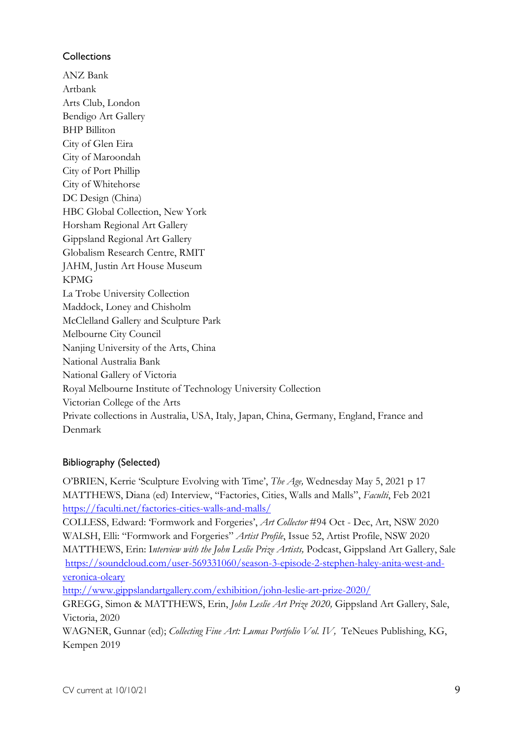## **Collections**

ANZ Bank Artbank Arts Club, London Bendigo Art Gallery BHP Billiton City of Glen Eira City of Maroondah City of Port Phillip City of Whitehorse DC Design (China) HBC Global Collection, New York Horsham Regional Art Gallery Gippsland Regional Art Gallery Globalism Research Centre, RMIT JAHM, Justin Art House Museum KPMG La Trobe University Collection Maddock, Loney and Chisholm McClelland Gallery and Sculpture Park Melbourne City Council Nanjing University of the Arts, China National Australia Bank National Gallery of Victoria Royal Melbourne Institute of Technology University Collection Victorian College of the Arts Private collections in Australia, USA, Italy, Japan, China, Germany, England, France and Denmark

## Bibliography (Selected)

O'BRIEN, Kerrie 'Sculpture Evolving with Time', *The Age,* Wednesday May 5, 2021 p 17 MATTHEWS, Diana (ed) Interview, "Factories, Cities, Walls and Malls", *Faculti*, Feb 2021 https://faculti.net/factories-cities-walls-and-malls/

COLLESS, Edward: 'Formwork and Forgeries', *Art Collector* #94 Oct - Dec, Art, NSW 2020 WALSH, Elli: "Formwork and Forgeries" *Artist Profile*, Issue 52, Artist Profile, NSW 2020 MATTHEWS, Erin: I*nterview with the John Leslie Prize Artists,* Podcast, Gippsland Art Gallery, Sale https://soundcloud.com/user-569331060/season-3-episode-2-stephen-haley-anita-west-andveronica-oleary

http://www.gippslandartgallery.com/exhibition/john-leslie-art-prize-2020/

GREGG, Simon & MATTHEWS, Erin, *John Leslie Art Prize 2020,* Gippsland Art Gallery, Sale, Victoria, 2020

WAGNER, Gunnar (ed); *Collecting Fine Art: Lumas Portfolio Vol. IV*, TeNeues Publishing, KG, Kempen 2019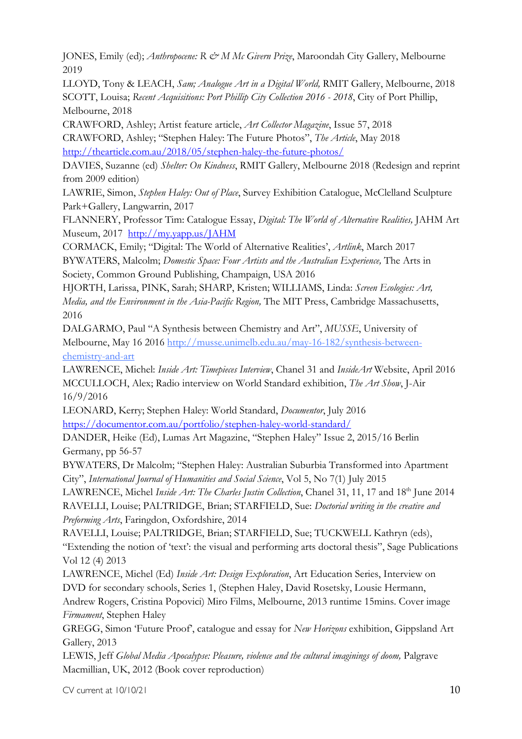JONES, Emily (ed); *Anthropocene: R & M Mc Givern Prize*, Maroondah City Gallery, Melbourne 2019

LLOYD, Tony & LEACH, *Sam; Analogue Art in a Digital World,* RMIT Gallery, Melbourne, 2018 SCOTT, Louisa; *Recent Acquisitions: Port Phillip City Collection 2016 - 2018*, City of Port Phillip, Melbourne, 2018

CRAWFORD, Ashley; Artist feature article, *Art Collector Magazine*, Issue 57, 2018 CRAWFORD, Ashley; "Stephen Haley: The Future Photos", *The Article*, May 2018 http://thearticle.com.au/2018/05/stephen-haley-the-future-photos/

DAVIES, Suzanne (ed) *Shelter: On Kindness*, RMIT Gallery, Melbourne 2018 (Redesign and reprint from 2009 edition)

LAWRIE, Simon, *Stephen Haley: Out of Place*, Survey Exhibition Catalogue, McClelland Sculpture Park+Gallery, Langwarrin, 2017

FLANNERY, Professor Tim: Catalogue Essay, *Digital: The World of Alternative Realities,* JAHM Art Museum, 2017 http://my.yapp.us/JAHM

CORMACK, Emily; "Digital: The World of Alternative Realities', *Artlink*, March 2017 BYWATERS, Malcolm; *Domestic Space: Four Artists and the Australian Experience*, The Arts in Society, Common Ground Publishing, Champaign, USA 2016

HJORTH, Larissa, PINK, Sarah; SHARP, Kristen; WILLIAMS, Linda: *Screen Ecologies: Art, Media, and the Environment in the Asia-Pacific Region,* The MIT Press, Cambridge Massachusetts, 2016

DALGARMO, Paul "A Synthesis between Chemistry and Art", *MUSSE*, University of Melbourne, May 16 2016 http://musse.unimelb.edu.au/may-16-182/synthesis-betweenchemistry-and-art

LAWRENCE, Michel: *Inside Art: Timepieces Interview*, Chanel 31 and *InsideArt* Website, April 2016 MCCULLOCH, Alex; Radio interview on World Standard exhibition, *The Art Show*, J-Air 16/9/2016

LEONARD, Kerry; Stephen Haley: World Standard, *Documentor*, July 2016 https://documentor.com.au/portfolio/stephen-haley-world-standard/

DANDER, Heike (Ed), Lumas Art Magazine, "Stephen Haley" Issue 2, 2015/16 Berlin Germany, pp 56-57

BYWATERS, Dr Malcolm; "Stephen Haley: Australian Suburbia Transformed into Apartment City", *International Journal of Humanities and Social Science*, Vol 5, No 7(1) July 2015

LAWRENCE, Michel *Inside Art: The Charles Justin Collection*, Chanel 31, 11, 17 and 18<sup>th</sup> June 2014 RAVELLI, Louise; PALTRIDGE, Brian; STARFIELD, Sue: *Doctorial writing in the creative and Preforming Arts*, Faringdon, Oxfordshire, 2014

RAVELLI, Louise; PALTRIDGE, Brian; STARFIELD, Sue; TUCKWELL Kathryn (eds), "Extending the notion of 'text': the visual and performing arts doctoral thesis", Sage Publications Vol 12 (4) 2013

LAWRENCE, Michel (Ed) *Inside Art: Design Exploration*, Art Education Series, Interview on DVD for secondary schools, Series 1, (Stephen Haley, David Rosetsky, Lousie Hermann,

Andrew Rogers, Cristina Popovici) Miro Films, Melbourne, 2013 runtime 15mins. Cover image *Firmament*, Stephen Haley

GREGG, Simon 'Future Proof', catalogue and essay for *New Horizons* exhibition, Gippsland Art Gallery, 2013

LEWIS, Jeff *Global Media Apocalypse: Pleasure, violence and the cultural imaginings of doom,* Palgrave Macmillian, UK, 2012 (Book cover reproduction)

 $CV$  current at  $10/10/21$  10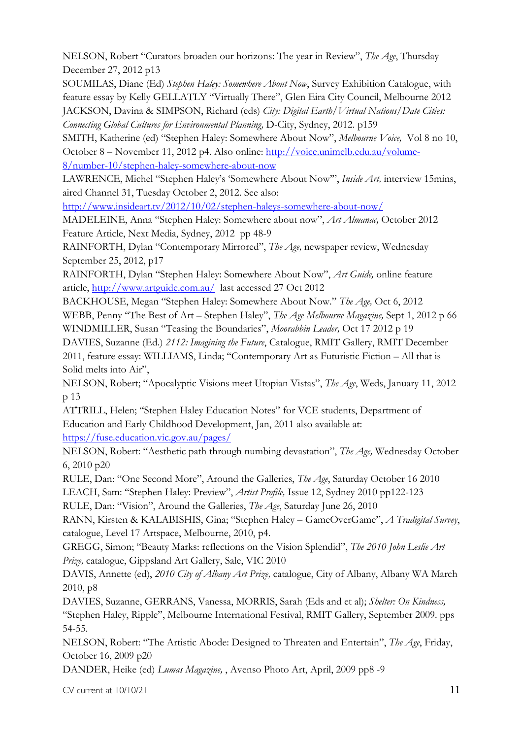NELSON, Robert "Curators broaden our horizons: The year in Review", *The Age*, Thursday December 27, 2012 p13

SOUMILAS, Diane (Ed) *Stephen Haley: Somewhere About Now*, Survey Exhibition Catalogue, with feature essay by Kelly GELLATLY "Virtually There", Glen Eira City Council, Melbourne 2012 JACKSON, Davina & SIMPSON, Richard (eds) *City: Digital Earth/Virtual Nations/Date Cities: Connecting Global Cultures for Environmental Planning,* D-City, Sydney, 2012. p159

SMITH, Katherine (ed) "Stephen Haley: Somewhere About Now", *Melbourne Voice,* Vol 8 no 10, October 8 – November 11, 2012 p4. Also online: http://voice.unimelb.edu.au/volume-

8/number-10/stephen-haley-somewhere-about-now

LAWRENCE, Michel "Stephen Haley's 'Somewhere About Now'", *Inside Art,* interview 15mins, aired Channel 31, Tuesday October 2, 2012. See also:

http://www.insideart.tv/2012/10/02/stephen-haleys-somewhere-about-now/

MADELEINE, Anna "Stephen Haley: Somewhere about now", *Art Almanac,* October 2012 Feature Article, Next Media, Sydney, 2012 pp 48-9

RAINFORTH, Dylan "Contemporary Mirrored", *The Age,* newspaper review, Wednesday September 25, 2012, p17

RAINFORTH, Dylan "Stephen Haley: Somewhere About Now", *Art Guide,* online feature article, http://www.artguide.com.au/ last accessed 27 Oct 2012

BACKHOUSE, Megan "Stephen Haley: Somewhere About Now." *The Age,* Oct 6, 2012

WEBB, Penny "The Best of Art – Stephen Haley", *The Age Melbourne Magazine,* Sept 1, 2012 p 66 WINDMILLER, Susan "Teasing the Boundaries", *Moorabbin Leader,* Oct 17 2012 p 19

DAVIES, Suzanne (Ed.) *2112: Imagining the Future*, Catalogue, RMIT Gallery, RMIT December 2011, feature essay: WILLIAMS, Linda; "Contemporary Art as Futuristic Fiction – All that is Solid melts into Air",

NELSON, Robert; "Apocalyptic Visions meet Utopian Vistas", *The Age*, Weds, January 11, 2012 p 13

ATTRILL, Helen; "Stephen Haley Education Notes" for VCE students, Department of Education and Early Childhood Development, Jan, 2011 also available at:

https://fuse.education.vic.gov.au/pages/

NELSON, Robert: "Aesthetic path through numbing devastation", *The Age,* Wednesday October 6, 2010 p20

RULE, Dan: "One Second More", Around the Galleries, *The Age*, Saturday October 16 2010 LEACH, Sam: "Stephen Haley: Preview", *Artist Profile,* Issue 12, Sydney 2010 pp122-123

RULE, Dan: "Vision", Around the Galleries, *The Age*, Saturday June 26, 2010

RANN, Kirsten & KALABISHIS, Gina; "Stephen Haley – GameOverGame", *A Tradigital Survey*, catalogue, Level 17 Artspace, Melbourne, 2010, p4.

GREGG, Simon; "Beauty Marks: reflections on the Vision Splendid", *The 2010 John Leslie Art Prize,* catalogue, Gippsland Art Gallery, Sale, VIC 2010

DAVIS, Annette (ed), *2010 City of Albany Art Prize,* catalogue, City of Albany, Albany WA March 2010, p8

DAVIES, Suzanne, GERRANS, Vanessa, MORRIS, Sarah (Eds and et al); *Shelter: On Kindness,* "Stephen Haley, Ripple", Melbourne International Festival, RMIT Gallery, September 2009. pps 54-55.

NELSON, Robert: "The Artistic Abode: Designed to Threaten and Entertain", *The Age*, Friday, October 16, 2009 p20

DANDER, Heike (ed) *Lumas Magazine,* , Avenso Photo Art, April, 2009 pp8 -9

 $CV$  current at  $10/10/21$  11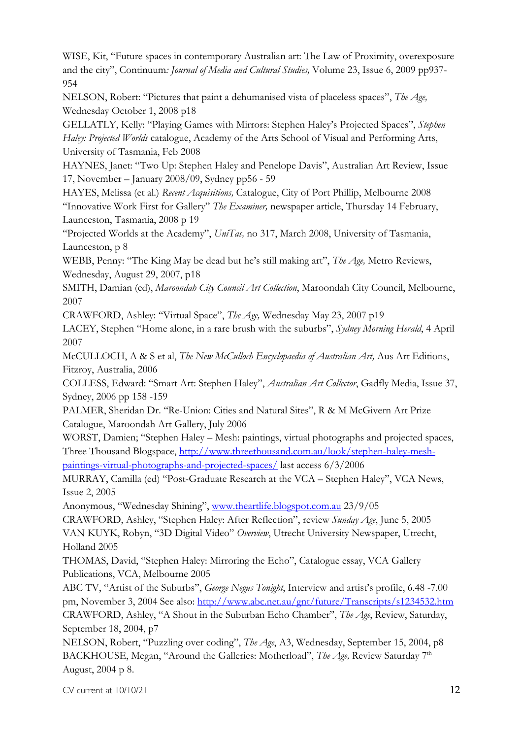WISE, Kit, "Future spaces in contemporary Australian art: The Law of Proximity, overexposure and the city", Continuum*: Journal of Media and Cultural Studies,* Volume 23, Issue 6, 2009 pp937- 954

NELSON, Robert: "Pictures that paint a dehumanised vista of placeless spaces", *The Age,* Wednesday October 1, 2008 p18

GELLATLY, Kelly: "Playing Games with Mirrors: Stephen Haley's Projected Spaces", *Stephen Haley: Projected Worlds* catalogue, Academy of the Arts School of Visual and Performing Arts, University of Tasmania, Feb 2008

HAYNES, Janet: "Two Up: Stephen Haley and Penelope Davis", Australian Art Review, Issue 17, November – January 2008/09, Sydney pp56 - 59

HAYES, Melissa (et al.) *Recent Acquisitions,* Catalogue, City of Port Phillip, Melbourne 2008 "Innovative Work First for Gallery" *The Examiner,* newspaper article, Thursday 14 February, Launceston, Tasmania, 2008 p 19

"Projected Worlds at the Academy", *UniTas,* no 317, March 2008, University of Tasmania, Launceston, p 8

WEBB, Penny: "The King May be dead but he's still making art", *The Age,* Metro Reviews, Wednesday, August 29, 2007, p18

SMITH, Damian (ed), *Maroondah City Council Art Collection*, Maroondah City Council, Melbourne, 2007

CRAWFORD, Ashley: "Virtual Space", *The Age,* Wednesday May 23, 2007 p19

LACEY, Stephen "Home alone, in a rare brush with the suburbs", *Sydney Morning Herald*, 4 April 2007

McCULLOCH, A & S et al, *The New McCulloch Encyclopaedia of Australian Art,* Aus Art Editions, Fitzroy, Australia, 2006

COLLESS, Edward: "Smart Art: Stephen Haley", *Australian Art Collector*, Gadfly Media, Issue 37, Sydney, 2006 pp 158 -159

PALMER, Sheridan Dr. "Re-Union: Cities and Natural Sites", R & M McGivern Art Prize Catalogue, Maroondah Art Gallery, July 2006

WORST, Damien; "Stephen Haley – Mesh: paintings, virtual photographs and projected spaces, Three Thousand Blogspace, http://www.threethousand.com.au/look/stephen-haley-meshpaintings-virtual-photographs-and-projected-spaces/ last access 6/3/2006

MURRAY, Camilla (ed) "Post-Graduate Research at the VCA – Stephen Haley", VCA News, Issue 2, 2005

Anonymous, "Wednesday Shining", www.theartlife.blogspot.com.au 23/9/05

CRAWFORD, Ashley, "Stephen Haley: After Reflection", review *Sunday Age*, June 5, 2005 VAN KUYK, Robyn, "3D Digital Video" *Overview*, Utrecht University Newspaper, Utrecht, Holland 2005

THOMAS, David, "Stephen Haley: Mirroring the Echo", Catalogue essay, VCA Gallery Publications, VCA, Melbourne 2005

ABC TV, "Artist of the Suburbs", *George Negus Tonight*, Interview and artist's profile, 6.48 -7.00 pm, November 3, 2004 See also: http://www.abc.net.au/gnt/future/Transcripts/s1234532.htm CRAWFORD, Ashley, "A Shout in the Suburban Echo Chamber", *The Age*, Review, Saturday, September 18, 2004, p7

NELSON, Robert, "Puzzling over coding", *The Age*, A3, Wednesday, September 15, 2004, p8 BACKHOUSE, Megan, "Around the Galleries: Motherload", *The Age*, Review Saturday 7<sup>th</sup> August, 2004 p 8.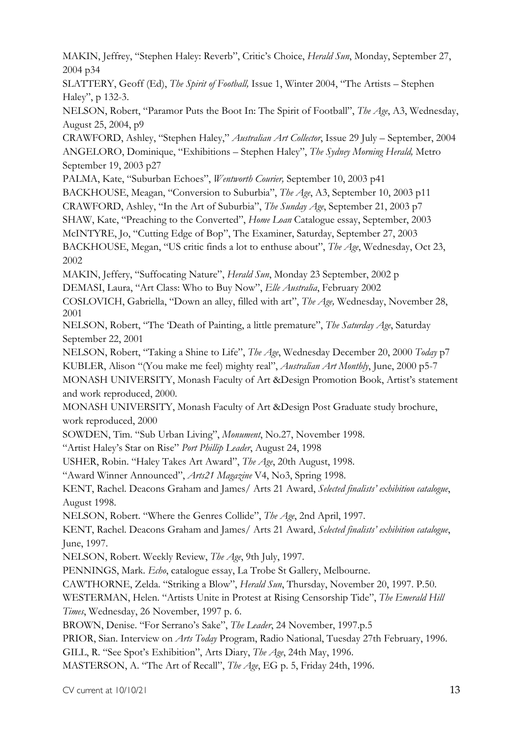MAKIN, Jeffrey, "Stephen Haley: Reverb", Critic's Choice, *Herald Sun*, Monday, September 27, 2004 p34

SLATTERY, Geoff (Ed), *The Spirit of Football,* Issue 1, Winter 2004, "The Artists – Stephen Haley", p 132-3.

NELSON, Robert, "Paramor Puts the Boot In: The Spirit of Football", *The Age*, A3, Wednesday, August 25, 2004, p9

CRAWFORD, Ashley, "Stephen Haley," *Australian Art Collector*, Issue 29 July – September, 2004 ANGELORO, Dominique, "Exhibitions – Stephen Haley", *The Sydney Morning Herald,* Metro September 19, 2003 p27

PALMA, Kate, "Suburban Echoes", *Wentworth Courier,* September 10, 2003 p41

BACKHOUSE, Meagan, "Conversion to Suburbia", *The Age*, A3, September 10, 2003 p11

CRAWFORD, Ashley, "In the Art of Suburbia", *The Sunday Age*, September 21, 2003 p7

SHAW, Kate, "Preaching to the Converted", *Home Loan* Catalogue essay, September, 2003

McINTYRE, Jo, "Cutting Edge of Bop", The Examiner, Saturday, September 27, 2003

BACKHOUSE, Megan, "US critic finds a lot to enthuse about", *The Age*, Wednesday, Oct 23, 2002

MAKIN, Jeffery, "Suffocating Nature", *Herald Sun*, Monday 23 September, 2002 p

DEMASI, Laura, "Art Class: Who to Buy Now", *Elle Australia*, February 2002

COSLOVICH, Gabriella, "Down an alley, filled with art", *The Age,* Wednesday, November 28, 2001

NELSON, Robert, "The 'Death of Painting, a little premature", *The Saturday Age*, Saturday September 22, 2001

NELSON, Robert, "Taking a Shine to Life", *The Age*, Wednesday December 20, 2000 *Today* p7

KUBLER, Alison "(You make me feel) mighty real", *Australian Art Monthly*, June, 2000 p5-7

MONASH UNIVERSITY, Monash Faculty of Art &Design Promotion Book, Artist's statement and work reproduced, 2000.

MONASH UNIVERSITY, Monash Faculty of Art &Design Post Graduate study brochure, work reproduced, 2000

SOWDEN, Tim. "Sub Urban Living", *Monument*, No.27, November 1998.

"Artist Haley's Star on Rise" *Port Phillip Leader*, August 24, 1998

USHER, Robin. "Haley Takes Art Award", *The Age*, 20th August, 1998.

"Award Winner Announced", *Arts21 Magazine* V4, No3, Spring 1998.

KENT, Rachel. Deacons Graham and James/ Arts 21 Award, *Selected finalists' exhibition catalogue*, August 1998.

NELSON, Robert. "Where the Genres Collide", *The Age*, 2nd April, 1997.

KENT, Rachel. Deacons Graham and James/ Arts 21 Award, *Selected finalists' exhibition catalogue*, June, 1997.

NELSON, Robert. Weekly Review, *The Age*, 9th July, 1997.

PENNINGS, Mark. *Echo*, catalogue essay, La Trobe St Gallery, Melbourne.

CAWTHORNE, Zelda. "Striking a Blow", *Herald Sun*, Thursday, November 20, 1997. P.50.

WESTERMAN, Helen. "Artists Unite in Protest at Rising Censorship Tide", *The Emerald Hill Times*, Wednesday, 26 November, 1997 p. 6.

BROWN, Denise. "For Serrano's Sake", *The Leader*, 24 November, 1997.p.5

PRIOR, Sian. Interview on *Arts Today* Program, Radio National, Tuesday 27th February, 1996.

GILL, R. "See Spot's Exhibition", Arts Diary, *The Age*, 24th May, 1996.

MASTERSON, A. "The Art of Recall", *The Age*, EG p. 5, Friday 24th, 1996.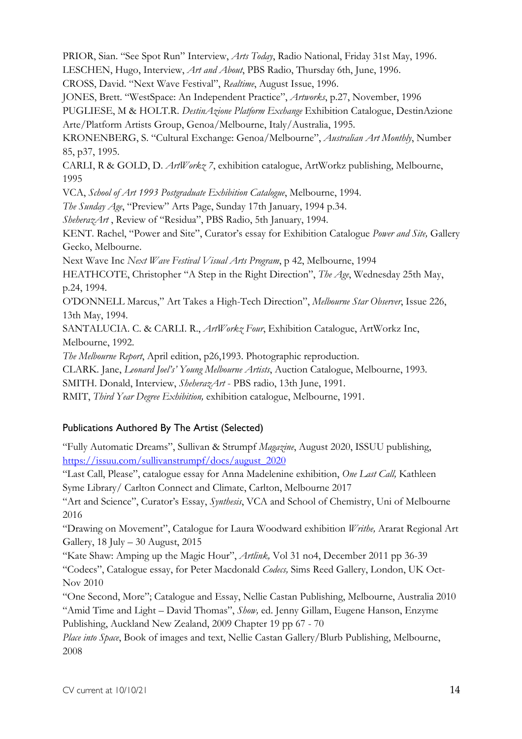PRIOR, Sian. "See Spot Run" Interview, *Arts Today*, Radio National, Friday 31st May, 1996. LESCHEN, Hugo, Interview, *Art and About*, PBS Radio, Thursday 6th, June, 1996. CROSS, David. "Next Wave Festival", *Realtime*, August Issue, 1996. JONES, Brett. "WestSpace: An Independent Practice", *Artworks*, p.27, November, 1996 PUGLIESE, M & HOLT.R. *DestinAzione Platform Exchange* Exhibition Catalogue, DestinAzione Arte/Platform Artists Group, Genoa/Melbourne, Italy/Australia, 1995. KRONENBERG, S. "Cultural Exchange: Genoa/Melbourne", *Australian Art Monthly*, Number 85, p37, 1995. CARLI, R & GOLD, D. *ArtWorkz 7*, exhibition catalogue, ArtWorkz publishing, Melbourne, 1995 VCA, *School of Art 1993 Postgraduate Exhibition Catalogue*, Melbourne, 1994. *The Sunday Age*, "Preview" Arts Page, Sunday 17th January, 1994 p.34. *SheherazArt* , Review of "Residua", PBS Radio, 5th January, 1994. KENT. Rachel, "Power and Site", Curator's essay for Exhibition Catalogue *Power and Site,* Gallery Gecko, Melbourne. Next Wave Inc *Next Wave Festival Visual Arts Program*, p 42, Melbourne, 1994 HEATHCOTE, Christopher "A Step in the Right Direction", *The Age*, Wednesday 25th May, p.24, 1994. O'DONNELL Marcus," Art Takes a High-Tech Direction", *Melbourne Star Observer*, Issue 226, 13th May, 1994. SANTALUCIA. C. & CARLI. R., *ArtWorkz Four*, Exhibition Catalogue, ArtWorkz Inc, Melbourne, 1992. *The Melbourne Report*, April edition, p26,1993. Photographic reproduction. CLARK. Jane, *Leonard Joel's' Young Melbourne Artists*, Auction Catalogue, Melbourne, 1993. SMITH. Donald, Interview, *SheherazArt* - PBS radio, 13th June, 1991. RMIT, *Third Year Degree Exhibition,* exhibition catalogue, Melbourne, 1991.

## Publications Authored By The Artist (Selected)

"Fully Automatic Dreams", Sullivan & Strumpf *Magazine*, August 2020, ISSUU publishing, https://issuu.com/sullivanstrumpf/docs/august\_2020

"Last Call, Please", catalogue essay for Anna Madelenine exhibition, *One Last Call,* Kathleen Syme Library/ Carlton Connect and Climate, Carlton, Melbourne 2017

"Art and Science", Curator's Essay, *Synthesis*, VCA and School of Chemistry, Uni of Melbourne 2016

"Drawing on Movement", Catalogue for Laura Woodward exhibition *Writhe,* Ararat Regional Art Gallery, 18 July – 30 August, 2015

"Kate Shaw: Amping up the Magic Hour", *Artlink,* Vol 31 no4, December 2011 pp 36-39 "Codecs", Catalogue essay, for Peter Macdonald *Codecs,* Sims Reed Gallery, London, UK Oct-Nov 2010

"One Second, More"; Catalogue and Essay, Nellie Castan Publishing, Melbourne, Australia 2010 "Amid Time and Light – David Thomas", *Show,* ed. Jenny Gillam, Eugene Hanson, Enzyme Publishing, Auckland New Zealand, 2009 Chapter 19 pp 67 - 70

*Place into Space*, Book of images and text, Nellie Castan Gallery/Blurb Publishing, Melbourne, 2008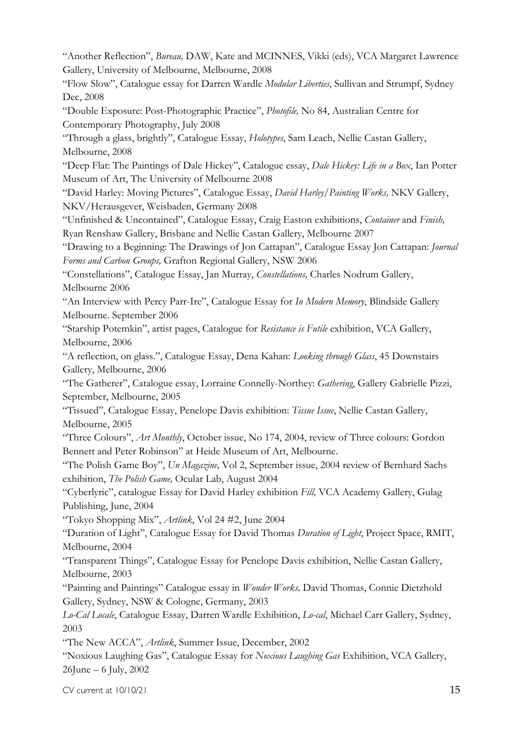"Another Reflection", *Bureau,* DAW, Kate and MCINNES, Vikki (eds), VCA Margaret Lawrence Gallery, University of Melbourne, Melbourne, 2008

"Flow Slow", Catalogue essay for Darren Wardle *Modular Liberties*, Sullivan and Strumpf, Sydney Dec, 2008

"Double Exposure: Post-Photographic Practice", *Photofile,* No 84, Australian Centre for Contemporary Photography, July 2008

"Through a glass, brightly", Catalogue Essay, *Holotypes*, Sam Leach, Nellie Castan Gallery, Melbourne, 2008

"Deep Flat: The Paintings of Dale Hickey", Catalogue essay, *Dale Hickey: Life in a Box*, Ian Potter Museum of Art, The University of Melbourne 2008

"David Harley: Moving Pictures", Catalogue Essay, *David Harley/Painting Works,* NKV Gallery, NKV/Herausgever, Weisbaden, Germany 2008

"Unfinished & Uncontained", Catalogue Essay, Craig Easton exhibitions, *Container* and *Finish,*  Ryan Renshaw Gallery, Brisbane and Nellie Castan Gallery, Melbourne 2007

"Drawing to a Beginning: The Drawings of Jon Cattapan", Catalogue Essay Jon Cattapan: *Journal Forms and Carbon Groups,* Grafton Regional Gallery, NSW 2006

"Constellations", Catalogue Essay, Jan Murray, *Constellations,* Charles Nodrum Gallery, Melbourne 2006

"An Interview with Percy Parr-Ire", Catalogue Essay for *In Modern Memory*, Blindside Gallery Melbourne. September 2006

"Starship Potemkin", artist pages, Catalogue for *Resistance is Futile* exhibition, VCA Gallery, Melbourne, 2006

"A reflection, on glass.", Catalogue Essay, Dena Kahan: *Looking through Glass*, 45 Downstairs Gallery, Melbourne, 2006

"The Gatherer", Catalogue essay, Lorraine Connelly-Northey: *Gathering*, Gallery Gabrielle Pizzi, September, Melbourne, 2005

"Tissued", Catalogue Essay, Penelope Davis exhibition: *Tissue Issue*, Nellie Castan Gallery, Melbourne, 2005

"Three Colours", *Art Monthly*, October issue, No 174, 2004, review of Three colours: Gordon Bennett and Peter Robinson" at Heide Museum of Art, Melbourne.

"The Polish Game Boy", *Un Magazine,* Vol 2, September issue, 2004 review of Bernhard Sachs exhibition, *The Polish Game,* Ocular Lab, August 2004

"Cyberlyric", catalogue Essay for David Harley exhibition *Fill,* VCA Academy Gallery, Gulag Publishing, June, 2004

"Tokyo Shopping Mix", *Artlink*, Vol 24 #2, June 2004

"Duration of Light", Catalogue Essay for David Thomas *Duration of Light*, Project Space, RMIT, Melbourne, 2004

"Transparent Things", Catalogue Essay for Penelope Davis exhibition, Nellie Castan Gallery, Melbourne, 2003

"Painting and Paintings" Catalogue essay in *Wonder Works,* David Thomas, Connie Dietzhold Gallery, Sydney, NSW & Cologne, Germany, 2003

*Lo-Cal Locale*, Catalogue Essay, Darren Wardle Exhibition, *Lo-cal*, Michael Carr Gallery, Sydney, 2003

"The New ACCA", *Artlink*, Summer Issue, December, 2002

"Noxious Laughing Gas", Catalogue Essay for *Noxious Laughing Gas* Exhibition, VCA Gallery, 26June – 6 July, 2002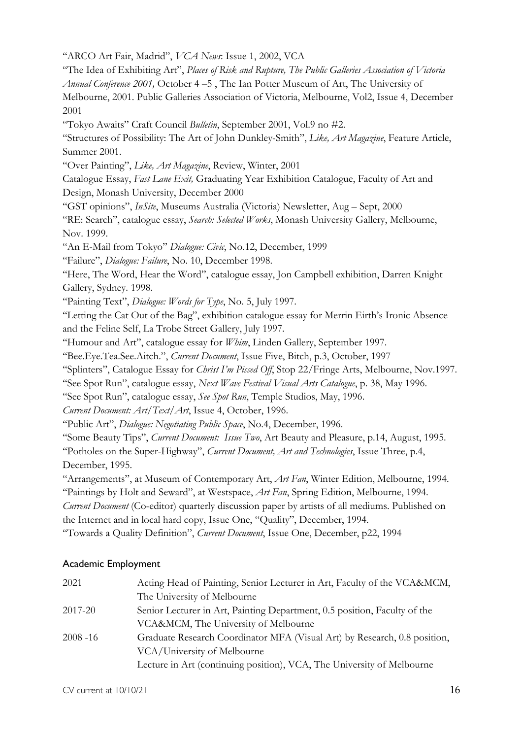"ARCO Art Fair, Madrid", *VCA News*: Issue 1, 2002, VCA

"The Idea of Exhibiting Art", *Places of Risk and Rupture, The Public Galleries Association of Victoria Annual Conference 2001,* October 4 –5 , The Ian Potter Museum of Art, The University of Melbourne, 2001. Public Galleries Association of Victoria, Melbourne, Vol2, Issue 4, December 2001

"Tokyo Awaits" Craft Council *Bulletin*, September 2001, Vol.9 no #2.

"Structures of Possibility: The Art of John Dunkley-Smith", *Like, Art Magazine*, Feature Article, Summer 2001.

"Over Painting", *Like, Art Magazine*, Review, Winter, 2001

Catalogue Essay, *Fast Lane Exit,* Graduating Year Exhibition Catalogue, Faculty of Art and Design, Monash University, December 2000

"GST opinions", *InSite*, Museums Australia (Victoria) Newsletter, Aug – Sept, 2000

"RE: Search", catalogue essay, *Search: Selected Works*, Monash University Gallery, Melbourne, Nov. 1999.

"An E-Mail from Tokyo" *Dialogue: Civic*, No.12, December, 1999

"Failure", *Dialogue: Failure*, No. 10, December 1998.

"Here, The Word, Hear the Word", catalogue essay, Jon Campbell exhibition, Darren Knight Gallery, Sydney. 1998.

"Painting Text", *Dialogue: Words for Type*, No. 5, July 1997.

"Letting the Cat Out of the Bag", exhibition catalogue essay for Merrin Eirth's Ironic Absence and the Feline Self, La Trobe Street Gallery, July 1997.

"Humour and Art", catalogue essay for *Whim*, Linden Gallery, September 1997.

"Bee.Eye.Tea.See.Aitch.", *Current Document*, Issue Five, Bitch, p.3, October, 1997

"Splinters", Catalogue Essay for *Christ I'm Pissed Off*, Stop 22/Fringe Arts, Melbourne, Nov.1997.

"See Spot Run", catalogue essay, *Next Wave Festival Visual Arts Catalogue*, p. 38, May 1996.

"See Spot Run", catalogue essay, *See Spot Run*, Temple Studios, May, 1996.

*Current Document: Art/Text/Art*, Issue 4, October, 1996.

"Public Art", *Dialogue: Negotiating Public Space*, No.4, December, 1996.

"Some Beauty Tips", *Current Document: Issue Two*, Art Beauty and Pleasure, p.14, August, 1995.

"Potholes on the Super-Highway", *Current Document, Art and Technologies*, Issue Three, p.4, December, 1995.

"Arrangements", at Museum of Contemporary Art, *Art Fan*, Winter Edition, Melbourne, 1994.

"Paintings by Holt and Seward", at Westspace, *Art Fan*, Spring Edition, Melbourne, 1994.

*Current Document* (Co-editor) quarterly discussion paper by artists of all mediums. Published on the Internet and in local hard copy, Issue One, "Quality", December, 1994.

"Towards a Quality Definition", *Current Document*, Issue One, December, p22, 1994

## Academic Employment

| 2021        | Acting Head of Painting, Senior Lecturer in Art, Faculty of the VCA&MCM,  |
|-------------|---------------------------------------------------------------------------|
|             | The University of Melbourne                                               |
| 2017-20     | Senior Lecturer in Art, Painting Department, 0.5 position, Faculty of the |
|             | VCA&MCM, The University of Melbourne                                      |
| $2008 - 16$ | Graduate Research Coordinator MFA (Visual Art) by Research, 0.8 position, |
|             | VCA/University of Melbourne                                               |
|             | Lecture in Art (continuing position), VCA, The University of Melbourne    |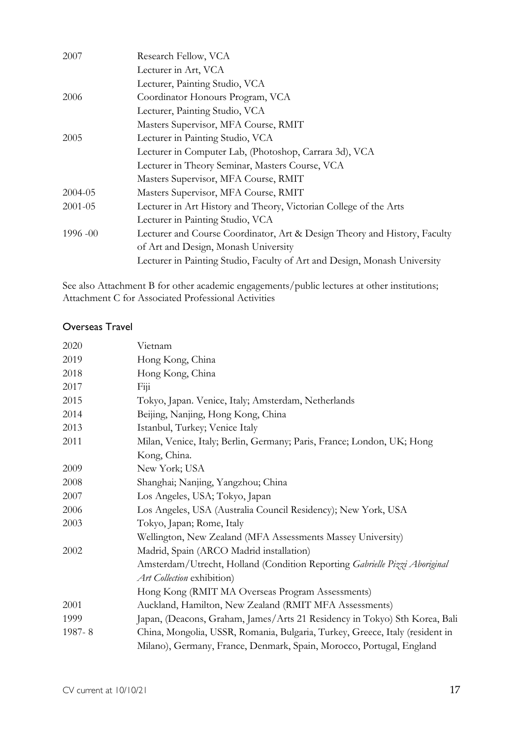| 2007        | Research Fellow, VCA                                                      |
|-------------|---------------------------------------------------------------------------|
|             | Lecturer in Art, VCA                                                      |
|             | Lecturer, Painting Studio, VCA                                            |
| 2006        | Coordinator Honours Program, VCA                                          |
|             | Lecturer, Painting Studio, VCA                                            |
|             | Masters Supervisor, MFA Course, RMIT                                      |
| 2005        | Lecturer in Painting Studio, VCA                                          |
|             | Lecturer in Computer Lab, (Photoshop, Carrara 3d), VCA                    |
|             | Lecturer in Theory Seminar, Masters Course, VCA                           |
|             | Masters Supervisor, MFA Course, RMIT                                      |
| 2004-05     | Masters Supervisor, MFA Course, RMIT                                      |
| $2001 - 05$ | Lecturer in Art History and Theory, Victorian College of the Arts         |
|             | Lecturer in Painting Studio, VCA                                          |
| $1996 - 00$ | Lecturer and Course Coordinator, Art & Design Theory and History, Faculty |
|             | of Art and Design, Monash University                                      |
|             | Lecturer in Painting Studio, Faculty of Art and Design, Monash University |

See also Attachment B for other academic engagements/public lectures at other institutions; Attachment C for Associated Professional Activities

### Overseas Travel

| 2020   | Vietnam                                                                      |
|--------|------------------------------------------------------------------------------|
| 2019   | Hong Kong, China                                                             |
| 2018   | Hong Kong, China                                                             |
| 2017   | Figi                                                                         |
| 2015   | Tokyo, Japan. Venice, Italy; Amsterdam, Netherlands                          |
| 2014   | Beijing, Nanjing, Hong Kong, China                                           |
| 2013   | Istanbul, Turkey; Venice Italy                                               |
| 2011   | Milan, Venice, Italy; Berlin, Germany; Paris, France; London, UK; Hong       |
|        | Kong, China.                                                                 |
| 2009   | New York; USA                                                                |
| 2008   | Shanghai; Nanjing, Yangzhou; China                                           |
| 2007   | Los Angeles, USA; Tokyo, Japan                                               |
| 2006   | Los Angeles, USA (Australia Council Residency); New York, USA                |
| 2003   | Tokyo, Japan; Rome, Italy                                                    |
|        | Wellington, New Zealand (MFA Assessments Massey University)                  |
| 2002   | Madrid, Spain (ARCO Madrid installation)                                     |
|        | Amsterdam/Utrecht, Holland (Condition Reporting Gabrielle Pizzi Aboriginal   |
|        | Art Collection exhibition)                                                   |
|        | Hong Kong (RMIT MA Overseas Program Assessments)                             |
| 2001   | Auckland, Hamilton, New Zealand (RMIT MFA Assessments)                       |
| 1999   | Japan, (Deacons, Graham, James/Arts 21 Residency in Tokyo) Sth Korea, Bali   |
| 1987-8 | China, Mongolia, USSR, Romania, Bulgaria, Turkey, Greece, Italy (resident in |
|        | Milano), Germany, France, Denmark, Spain, Morocco, Portugal, England         |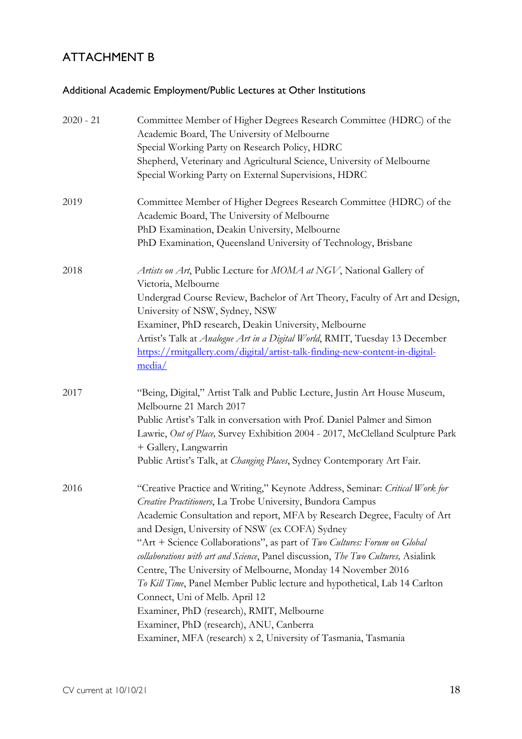## ATTACHMENT B

## Additional Academic Employment/Public Lectures at Other Institutions

| $2020 - 21$ | Committee Member of Higher Degrees Research Committee (HDRC) of the<br>Academic Board, The University of Melbourne<br>Special Working Party on Research Policy, HDRC<br>Shepherd, Veterinary and Agricultural Science, University of Melbourne<br>Special Working Party on External Supervisions, HDRC                                                                                                                                                                                                                                                                                                                                                                                                                                                                               |
|-------------|--------------------------------------------------------------------------------------------------------------------------------------------------------------------------------------------------------------------------------------------------------------------------------------------------------------------------------------------------------------------------------------------------------------------------------------------------------------------------------------------------------------------------------------------------------------------------------------------------------------------------------------------------------------------------------------------------------------------------------------------------------------------------------------|
| 2019        | Committee Member of Higher Degrees Research Committee (HDRC) of the<br>Academic Board, The University of Melbourne<br>PhD Examination, Deakin University, Melbourne<br>PhD Examination, Queensland University of Technology, Brisbane                                                                                                                                                                                                                                                                                                                                                                                                                                                                                                                                                |
| 2018        | Artists on Art, Public Lecture for MOMA at NGV, National Gallery of<br>Victoria, Melbourne<br>Undergrad Course Review, Bachelor of Art Theory, Faculty of Art and Design,<br>University of NSW, Sydney, NSW<br>Examiner, PhD research, Deakin University, Melbourne<br>Artist's Talk at Analogue Art in a Digital World, RMIT, Tuesday 13 December<br>https://rmitgallery.com/digital/artist-talk-finding-new-content-in-digital-<br>media/                                                                                                                                                                                                                                                                                                                                          |
| 2017        | "Being, Digital," Artist Talk and Public Lecture, Justin Art House Museum,<br>Melbourne 21 March 2017<br>Public Artist's Talk in conversation with Prof. Daniel Palmer and Simon<br>Lawrie, Out of Place, Survey Exhibition 2004 - 2017, McClelland Sculpture Park<br>+ Gallery, Langwarrin<br>Public Artist's Talk, at Changing Places, Sydney Contemporary Art Fair.                                                                                                                                                                                                                                                                                                                                                                                                               |
| 2016        | "Creative Practice and Writing," Keynote Address, Seminar: Critical Work for<br>Creative Practitioners, La Trobe University, Bundora Campus<br>Academic Consultation and report, MFA by Research Degree, Faculty of Art<br>and Design, University of NSW (ex COFA) Sydney<br>"Art + Science Collaborations", as part of Two Cultures: Forum on Global<br>collaborations with art and Science, Panel discussion, The Two Cultures, Asialink<br>Centre, The University of Melbourne, Monday 14 November 2016<br>To Kill Time, Panel Member Public lecture and hypothetical, Lab 14 Carlton<br>Connect, Uni of Melb. April 12<br>Examiner, PhD (research), RMIT, Melbourne<br>Examiner, PhD (research), ANU, Canberra<br>Examiner, MFA (research) x 2, University of Tasmania, Tasmania |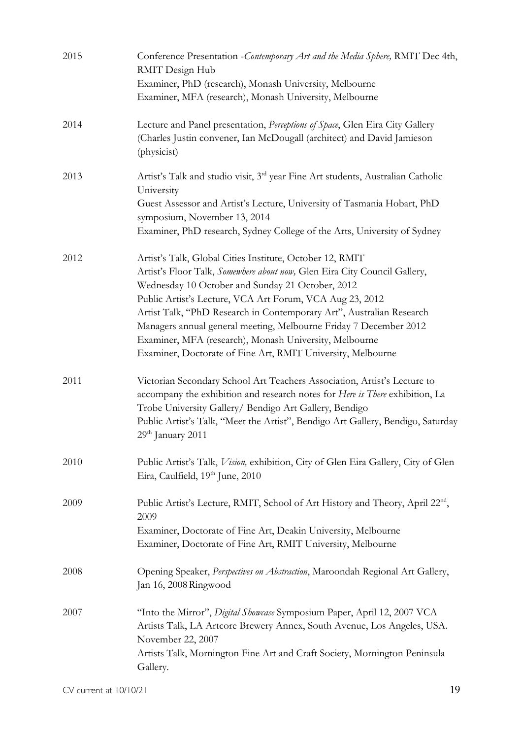| 2015 | Conference Presentation - Contemporary Art and the Media Sphere, RMIT Dec 4th,<br>RMIT Design Hub<br>Examiner, PhD (research), Monash University, Melbourne                                                                                                                                                                                                                                                                                                                                                                 |
|------|-----------------------------------------------------------------------------------------------------------------------------------------------------------------------------------------------------------------------------------------------------------------------------------------------------------------------------------------------------------------------------------------------------------------------------------------------------------------------------------------------------------------------------|
|      | Examiner, MFA (research), Monash University, Melbourne                                                                                                                                                                                                                                                                                                                                                                                                                                                                      |
| 2014 | Lecture and Panel presentation, Perceptions of Space, Glen Eira City Gallery<br>(Charles Justin convener, Ian McDougall (architect) and David Jamieson<br>(physicist)                                                                                                                                                                                                                                                                                                                                                       |
| 2013 | Artist's Talk and studio visit, 3 <sup>rd</sup> year Fine Art students, Australian Catholic<br>University<br>Guest Assessor and Artist's Lecture, University of Tasmania Hobart, PhD<br>symposium, November 13, 2014                                                                                                                                                                                                                                                                                                        |
|      | Examiner, PhD research, Sydney College of the Arts, University of Sydney                                                                                                                                                                                                                                                                                                                                                                                                                                                    |
| 2012 | Artist's Talk, Global Cities Institute, October 12, RMIT<br>Artist's Floor Talk, Somewhere about now, Glen Eira City Council Gallery,<br>Wednesday 10 October and Sunday 21 October, 2012<br>Public Artist's Lecture, VCA Art Forum, VCA Aug 23, 2012<br>Artist Talk, "PhD Research in Contemporary Art", Australian Research<br>Managers annual general meeting, Melbourne Friday 7 December 2012<br>Examiner, MFA (research), Monash University, Melbourne<br>Examiner, Doctorate of Fine Art, RMIT University, Melbourne |
| 2011 | Victorian Secondary School Art Teachers Association, Artist's Lecture to<br>accompany the exhibition and research notes for Here is There exhibition, La<br>Trobe University Gallery/ Bendigo Art Gallery, Bendigo<br>Public Artist's Talk, "Meet the Artist", Bendigo Art Gallery, Bendigo, Saturday<br>29 <sup>th</sup> January 2011                                                                                                                                                                                      |
| 2010 | Public Artist's Talk, Vision, exhibition, City of Glen Eira Gallery, City of Glen<br>Eira, Caulfield, 19th June, 2010                                                                                                                                                                                                                                                                                                                                                                                                       |
| 2009 | Public Artist's Lecture, RMIT, School of Art History and Theory, April 22 <sup>nd</sup> ,<br>2009<br>Examiner, Doctorate of Fine Art, Deakin University, Melbourne<br>Examiner, Doctorate of Fine Art, RMIT University, Melbourne                                                                                                                                                                                                                                                                                           |
| 2008 | Opening Speaker, Perspectives on Abstraction, Maroondah Regional Art Gallery,<br>Jan 16, 2008 Ringwood                                                                                                                                                                                                                                                                                                                                                                                                                      |
| 2007 | "Into the Mirror", Digital Showcase Symposium Paper, April 12, 2007 VCA<br>Artists Talk, LA Artcore Brewery Annex, South Avenue, Los Angeles, USA.<br>November 22, 2007<br>Artists Talk, Mornington Fine Art and Craft Society, Mornington Peninsula<br>Gallery.                                                                                                                                                                                                                                                            |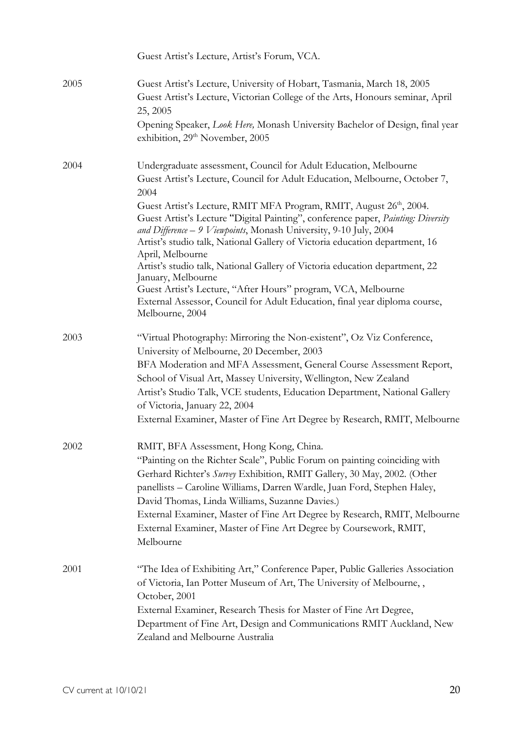|      | Guest Artist's Lecture, Artist's Forum, VCA.                                                                                                                                                                                                                                                                                                                                   |
|------|--------------------------------------------------------------------------------------------------------------------------------------------------------------------------------------------------------------------------------------------------------------------------------------------------------------------------------------------------------------------------------|
| 2005 | Guest Artist's Lecture, University of Hobart, Tasmania, March 18, 2005<br>Guest Artist's Lecture, Victorian College of the Arts, Honours seminar, April<br>25, 2005                                                                                                                                                                                                            |
|      | Opening Speaker, Look Here, Monash University Bachelor of Design, final year<br>exhibition, 29 <sup>th</sup> November, 2005                                                                                                                                                                                                                                                    |
| 2004 | Undergraduate assessment, Council for Adult Education, Melbourne<br>Guest Artist's Lecture, Council for Adult Education, Melbourne, October 7,<br>2004                                                                                                                                                                                                                         |
|      | Guest Artist's Lecture, RMIT MFA Program, RMIT, August 26 <sup>th</sup> , 2004.<br>Guest Artist's Lecture "Digital Painting", conference paper, Painting: Diversity<br>and Difference - 9 Viewpoints, Monash University, 9-10 July, 2004<br>Artist's studio talk, National Gallery of Victoria education department, 16<br>April, Melbourne                                    |
|      | Artist's studio talk, National Gallery of Victoria education department, 22<br>January, Melbourne<br>Guest Artist's Lecture, "After Hours" program, VCA, Melbourne<br>External Assessor, Council for Adult Education, final year diploma course,<br>Melbourne, 2004                                                                                                            |
| 2003 | "Virtual Photography: Mirroring the Non-existent", Oz Viz Conference,<br>University of Melbourne, 20 December, 2003<br>BFA Moderation and MFA Assessment, General Course Assessment Report,<br>School of Visual Art, Massey University, Wellington, New Zealand<br>Artist's Studio Talk, VCE students, Education Department, National Gallery<br>of Victoria, January 22, 2004 |
|      | External Examiner, Master of Fine Art Degree by Research, RMIT, Melbourne                                                                                                                                                                                                                                                                                                      |
| 2002 | RMIT, BFA Assessment, Hong Kong, China.<br>"Painting on the Richter Scale", Public Forum on painting coinciding with<br>Gerhard Richter's Survey Exhibition, RMIT Gallery, 30 May, 2002. (Other<br>panellists - Caroline Williams, Darren Wardle, Juan Ford, Stephen Haley,<br>David Thomas, Linda Williams, Suzanne Davies.)                                                  |
|      | External Examiner, Master of Fine Art Degree by Research, RMIT, Melbourne<br>External Examiner, Master of Fine Art Degree by Coursework, RMIT,<br>Melbourne                                                                                                                                                                                                                    |
| 2001 | "The Idea of Exhibiting Art," Conference Paper, Public Galleries Association<br>of Victoria, Ian Potter Museum of Art, The University of Melbourne, ,<br>October, 2001                                                                                                                                                                                                         |
|      | External Examiner, Research Thesis for Master of Fine Art Degree,<br>Department of Fine Art, Design and Communications RMIT Auckland, New<br>Zealand and Melbourne Australia                                                                                                                                                                                                   |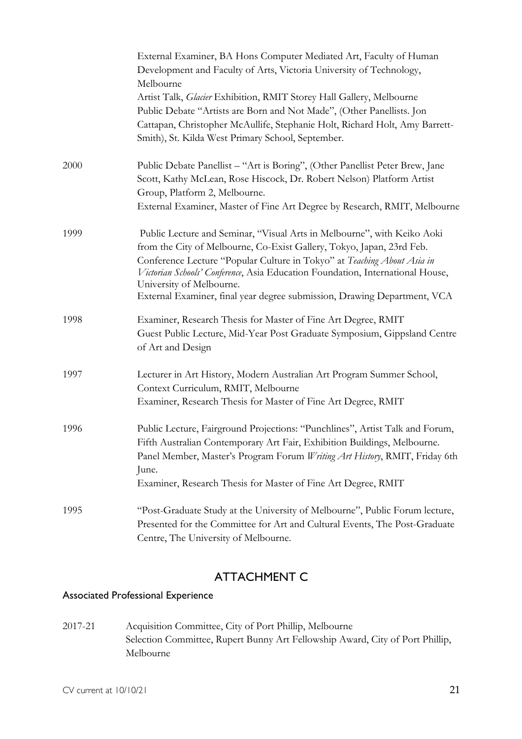|      | External Examiner, BA Hons Computer Mediated Art, Faculty of Human<br>Development and Faculty of Arts, Victoria University of Technology,<br>Melbourne                                                                                                                                                                                                                                                                |
|------|-----------------------------------------------------------------------------------------------------------------------------------------------------------------------------------------------------------------------------------------------------------------------------------------------------------------------------------------------------------------------------------------------------------------------|
|      | Artist Talk, Glacier Exhibition, RMIT Storey Hall Gallery, Melbourne<br>Public Debate "Artists are Born and Not Made", (Other Panellists. Jon<br>Cattapan, Christopher McAullife, Stephanie Holt, Richard Holt, Amy Barrett-<br>Smith), St. Kilda West Primary School, September.                                                                                                                                     |
|      |                                                                                                                                                                                                                                                                                                                                                                                                                       |
| 2000 | Public Debate Panellist - "Art is Boring", (Other Panellist Peter Brew, Jane<br>Scott, Kathy McLean, Rose Hiscock, Dr. Robert Nelson) Platform Artist<br>Group, Platform 2, Melbourne.<br>External Examiner, Master of Fine Art Degree by Research, RMIT, Melbourne                                                                                                                                                   |
| 1999 | Public Lecture and Seminar, "Visual Arts in Melbourne", with Keiko Aoki<br>from the City of Melbourne, Co-Exist Gallery, Tokyo, Japan, 23rd Feb.<br>Conference Lecture "Popular Culture in Tokyo" at Teaching About Asia in<br>Victorian Schools' Conference, Asia Education Foundation, International House,<br>University of Melbourne.<br>External Examiner, final year degree submission, Drawing Department, VCA |
| 1998 | Examiner, Research Thesis for Master of Fine Art Degree, RMIT<br>Guest Public Lecture, Mid-Year Post Graduate Symposium, Gippsland Centre<br>of Art and Design                                                                                                                                                                                                                                                        |
| 1997 | Lecturer in Art History, Modern Australian Art Program Summer School,<br>Context Curriculum, RMIT, Melbourne<br>Examiner, Research Thesis for Master of Fine Art Degree, RMIT                                                                                                                                                                                                                                         |
| 1996 | Public Lecture, Fairground Projections: "Punchlines", Artist Talk and Forum,<br>Fifth Australian Contemporary Art Fair, Exhibition Buildings, Melbourne.<br>Panel Member, Master's Program Forum Writing Art History, RMIT, Friday 6th<br>June.<br>Examiner, Research Thesis for Master of Fine Art Degree, RMIT                                                                                                      |
| 1995 | "Post-Graduate Study at the University of Melbourne", Public Forum lecture,<br>Presented for the Committee for Art and Cultural Events, The Post-Graduate<br>Centre, The University of Melbourne.                                                                                                                                                                                                                     |

## ATTACHMENT C

## Associated Professional Experience

2017-21 Acquisition Committee, City of Port Phillip, Melbourne Selection Committee, Rupert Bunny Art Fellowship Award, City of Port Phillip, Melbourne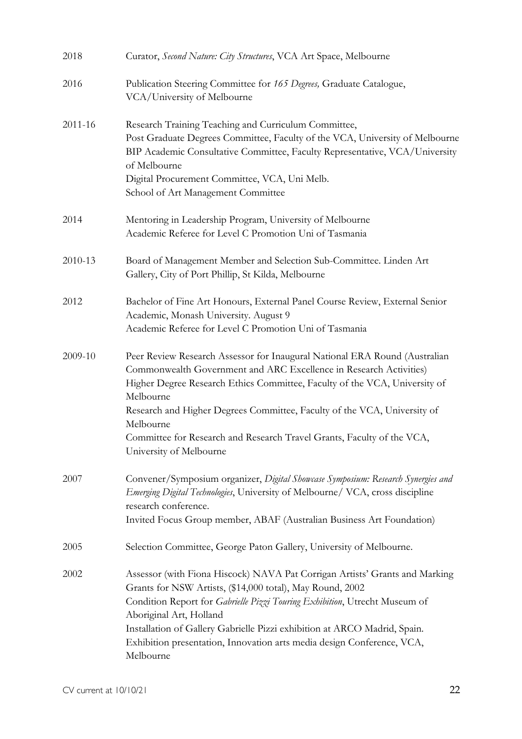| 2018    | Curator, Second Nature: City Structures, VCA Art Space, Melbourne                                                                                                                                                                                                                                                                                                                                                                         |
|---------|-------------------------------------------------------------------------------------------------------------------------------------------------------------------------------------------------------------------------------------------------------------------------------------------------------------------------------------------------------------------------------------------------------------------------------------------|
| 2016    | Publication Steering Committee for 165 Degrees, Graduate Catalogue,<br>VCA/University of Melbourne                                                                                                                                                                                                                                                                                                                                        |
| 2011-16 | Research Training Teaching and Curriculum Committee,<br>Post Graduate Degrees Committee, Faculty of the VCA, University of Melbourne<br>BIP Academic Consultative Committee, Faculty Representative, VCA/University<br>of Melbourne<br>Digital Procurement Committee, VCA, Uni Melb.<br>School of Art Management Committee                                                                                                                |
| 2014    | Mentoring in Leadership Program, University of Melbourne<br>Academic Referee for Level C Promotion Uni of Tasmania                                                                                                                                                                                                                                                                                                                        |
| 2010-13 | Board of Management Member and Selection Sub-Committee. Linden Art<br>Gallery, City of Port Phillip, St Kilda, Melbourne                                                                                                                                                                                                                                                                                                                  |
| 2012    | Bachelor of Fine Art Honours, External Panel Course Review, External Senior<br>Academic, Monash University. August 9<br>Academic Referee for Level C Promotion Uni of Tasmania                                                                                                                                                                                                                                                            |
| 2009-10 | Peer Review Research Assessor for Inaugural National ERA Round (Australian<br>Commonwealth Government and ARC Excellence in Research Activities)<br>Higher Degree Research Ethics Committee, Faculty of the VCA, University of<br>Melbourne<br>Research and Higher Degrees Committee, Faculty of the VCA, University of<br>Melbourne<br>Committee for Research and Research Travel Grants, Faculty of the VCA,<br>University of Melbourne |
| 2007    | Convener/Symposium organizer, Digital Showcase Symposium: Research Synergies and<br>Emerging Digital Technologies, University of Melbourne/ VCA, cross discipline<br>research conference.<br>Invited Focus Group member, ABAF (Australian Business Art Foundation)                                                                                                                                                                        |
| 2005    | Selection Committee, George Paton Gallery, University of Melbourne.                                                                                                                                                                                                                                                                                                                                                                       |
| 2002    | Assessor (with Fiona Hiscock) NAVA Pat Corrigan Artists' Grants and Marking<br>Grants for NSW Artists, (\$14,000 total), May Round, 2002<br>Condition Report for Gabrielle Pizzi Touring Exhibition, Utrecht Museum of<br>Aboriginal Art, Holland<br>Installation of Gallery Gabrielle Pizzi exhibition at ARCO Madrid, Spain.<br>Exhibition presentation, Innovation arts media design Conference, VCA,<br>Melbourne                     |